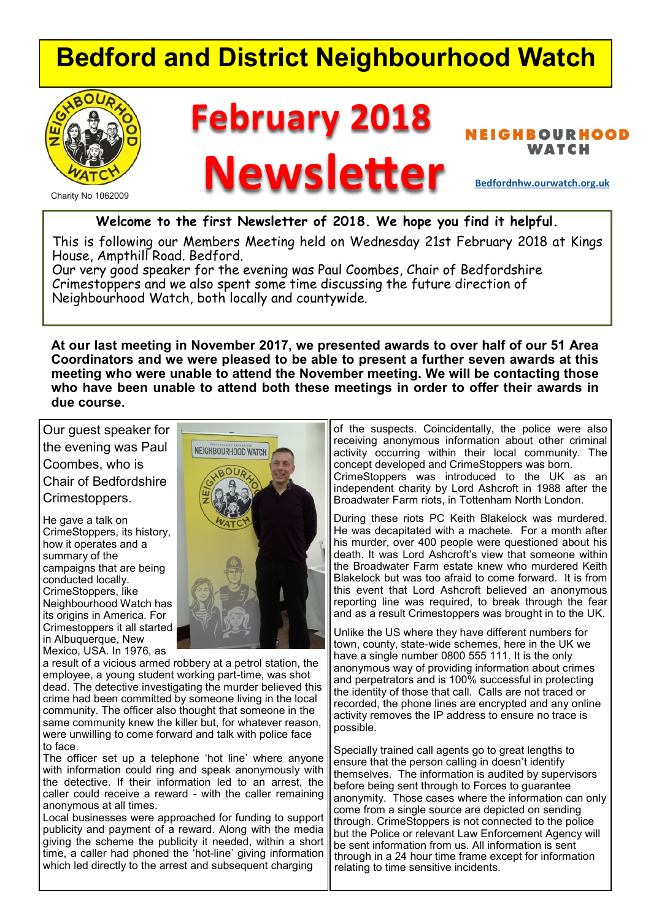# **Bedford and District Neighbourhood Watch**



Charity No 1062009

# **February 2018**

**BOURHOOD** WATCH<br> **Newsletter Bedfordnhw.ourwatch.org.uk** 

**Welcome to the first Newsletter of 2018. We hope you find it helpful.**

This is following our Members Meeting held on Wednesday 21st February 2018 at Kings House, Ampthill Road. Bedford.

Our very good speaker for the evening was Paul Coombes, Chair of Bedfordshire Crimestoppers and we also spent some time discussing the future direction of Neighbourhood Watch, both locally and countywide.

**At our last meeting in November 2017, we presented awards to over half of our 51 Area Coordinators and we were pleased to be able to present a further seven awards at this meeting who were unable to attend the November meeting. We will be contacting those who have been unable to attend both these meetings in order to offer their awards in due course.**

Our guest speaker for the evening was Paul Coombes, who is Chair of Bedfordshire Crimestoppers.

He gave a talk on CrimeStoppers, its history, how it operates and a summary of the campaigns that are being conducted locally. CrimeStoppers, like Neighbourhood Watch has its origins in America. For Crimestoppers it all started in Albuquerque, New Mexico, USA. In 1976, as



a result of a vicious armed robbery at a petrol station, the employee, a young student working part-time, was shot dead. The detective investigating the murder believed this crime had been committed by someone living in the local community. The officer also thought that someone in the same community knew the killer but, for whatever reason, were unwilling to come forward and talk with police face to face.

The officer set up a telephone 'hot line' where anyone with information could ring and speak anonymously with the detective. If their information led to an arrest, the caller could receive a reward - with the caller remaining anonymous at all times.

Local businesses were approached for funding to support publicity and payment of a reward. Along with the media giving the scheme the publicity it needed, within a short time, a caller had phoned the 'hot-line' giving information which led directly to the arrest and subsequent charging

of the suspects. Coincidentally, the police were also receiving anonymous information about other criminal activity occurring within their local community. The concept developed and CrimeStoppers was born. CrimeStoppers was introduced to the UK as an independent charity by Lord Ashcroft in 1988 after the Broadwater Farm riots, in Tottenham North London.

During these riots PC Keith Blakelock was murdered. He was decapitated with a machete. For a month after his murder, over 400 people were questioned about his death. It was Lord Ashcroft's view that someone within the Broadwater Farm estate knew who murdered Keith Blakelock but was too afraid to come forward. It is from this event that Lord Ashcroft believed an anonymous reporting line was required, to break through the fear and as a result Crimestoppers was brought in to the UK.

Unlike the US where they have different numbers for town, county, state-wide schemes, here in the UK we have a single number 0800 555 111. It is the only anonymous way of providing information about crimes and perpetrators and is 100% successful in protecting the identity of those that call. Calls are not traced or recorded, the phone lines are encrypted and any online activity removes the IP address to ensure no trace is possible.

Specially trained call agents go to great lengths to ensure that the person calling in doesn't identify themselves. The information is audited by supervisors before being sent through to Forces to guarantee anonymity. Those cases where the information can only come from a single source are depicted on sending through. CrimeStoppers is not connected to the police but the Police or relevant Law Enforcement Agency will be sent information from us. All information is sent through in a 24 hour time frame except for information relating to time sensitive incidents.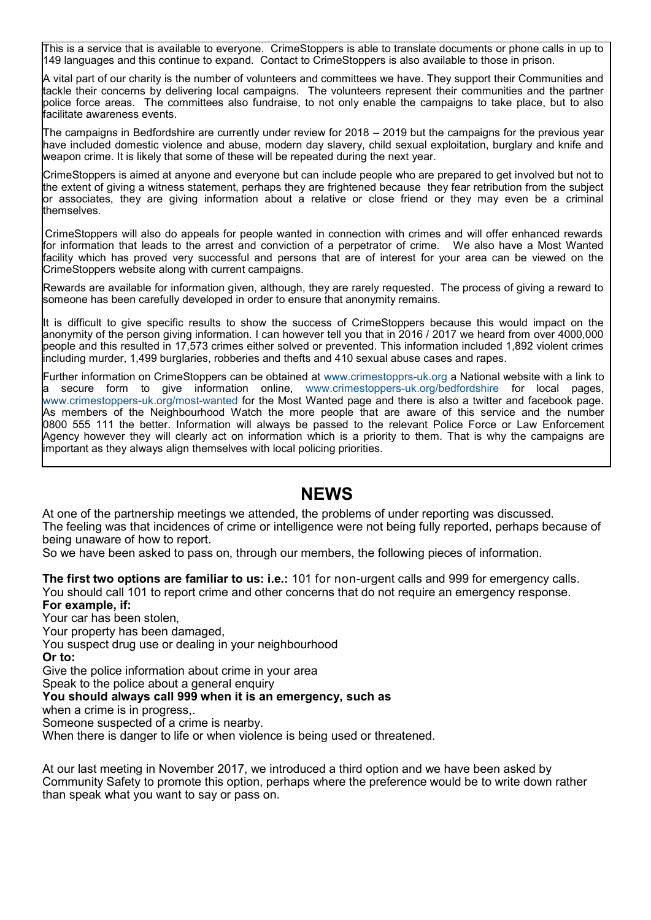This is a service that is available to everyone. CrimeStoppers is able to translate documents or phone calls in up to 149 languages and this continue to expand. Contact to CrimeStoppers is also available to those in prison.

A vital part of our charity is the number of volunteers and committees we have. They support their Communities and tackle their concerns by delivering local campaigns. The volunteers represent their communities and the partner police force areas. The committees also fundraise, to not only enable the campaigns to take place, but to also facilitate awareness events.

The campaigns in Bedfordshire are currently under review for 2018 – 2019 but the campaigns for the previous year have included domestic violence and abuse, modern day slavery, child sexual exploitation, burglary and knife and weapon crime. It is likely that some of these will be repeated during the next year.

CrimeStoppers is aimed at anyone and everyone but can include people who are prepared to get involved but not to the extent of giving a witness statement, perhaps they are frightened because they fear retribution from the subject or associates, they are giving information about a relative or close friend or they may even be a criminal **t**hemselves.

CrimeStoppers will also do appeals for people wanted in connection with crimes and will offer enhanced rewards for information that leads to the arrest and conviction of a perpetrator of crime. We also have a Most Wanted facility which has proved very successful and persons that are of interest for your area can be viewed on the CrimeStoppers website along with current campaigns.

Rewards are available for information given, although, they are rarely requested. The process of giving a reward to someone has been carefully developed in order to ensure that anonymity remains.

It is difficult to give specific results to show the success of CrimeStoppers because this would impact on the anonymity of the person giving information. I can however tell you that in 2016 / 2017 we heard from over 4000,000 people and this resulted in 17,573 crimes either solved or prevented. This information included 1,892 violent crimes including murder, 1,499 burglaries, robberies and thefts and 410 sexual abuse cases and rapes.

Further information on CrimeStoppers can be obtained at www.crimestopprs-uk.org a National website with a link to a secure form to give information online, www.crimestoppers-uk.org/bedfordshire for local pages, www.crimestoppers-uk.org/most-wanted for the Most Wanted page and there is also a twitter and facebook page. As members of the Neighbourhood Watch the more people that are aware of this service and the number 0800 555 111 the better. Information will always be passed to the relevant Police Force or Law Enforcement Agency however they will clearly act on information which is a priority to them. That is why the campaigns are important as they always align themselves with local policing priorities.

### **NEWS**

At one of the partnership meetings we attended, the problems of under reporting was discussed. The feeling was that incidences of crime or intelligence were not being fully reported, perhaps because of being unaware of how to report.

So we have been asked to pass on, through our members, the following pieces of information.

**The first two options are familiar to us: i.e.:** 101 for non-urgent calls and 999 for emergency calls. You should call 101 to report crime and other concerns that do not require an emergency response. **For example, if:**

Your car has been stolen,

Your property has been damaged,

You suspect drug use or dealing in your neighbourhood

**Or to:**

Give the police information about crime in your area

Speak to the police about a general enquiry

#### **You should always call 999 when it is an emergency, such as**

when a crime is in progress,.

Someone suspected of a crime is nearby.

When there is danger to life or when violence is being used or threatened.

At our last meeting in November 2017, we introduced a third option and we have been asked by Community Safety to promote this option, perhaps where the preference would be to write down rather than speak what you want to say or pass on.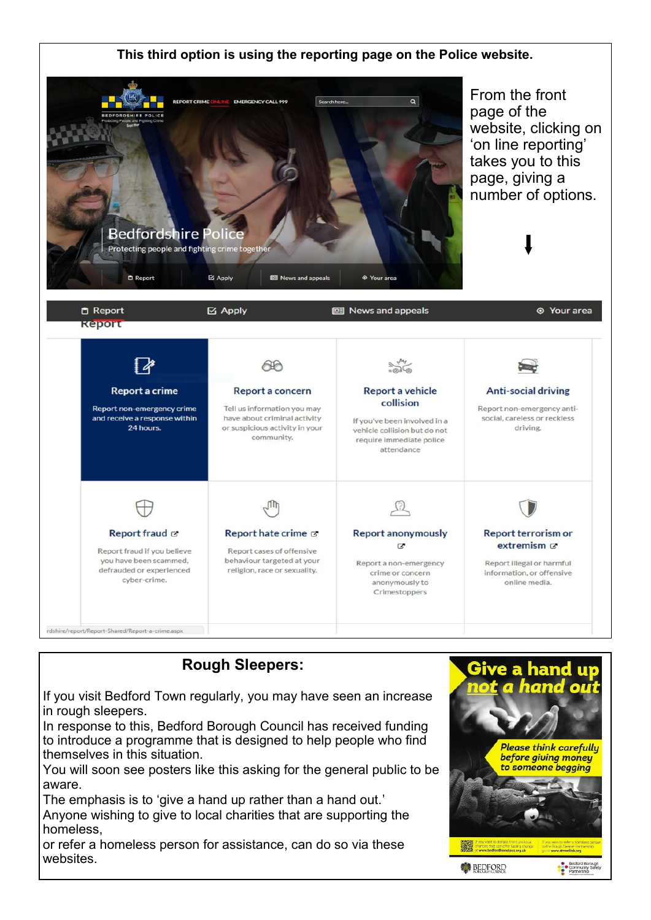

# **Rough Sleepers:**

If you visit Bedford Town regularly, you may have seen an increase in rough sleepers.

In response to this, Bedford Borough Council has received funding to introduce a programme that is designed to help people who find themselves in this situation.

You will soon see posters like this asking for the general public to be aware.

The emphasis is to 'give a hand up rather than a hand out.' Anyone wishing to give to local charities that are supporting the homeless,

or refer a homeless person for assistance, can do so via these websites.